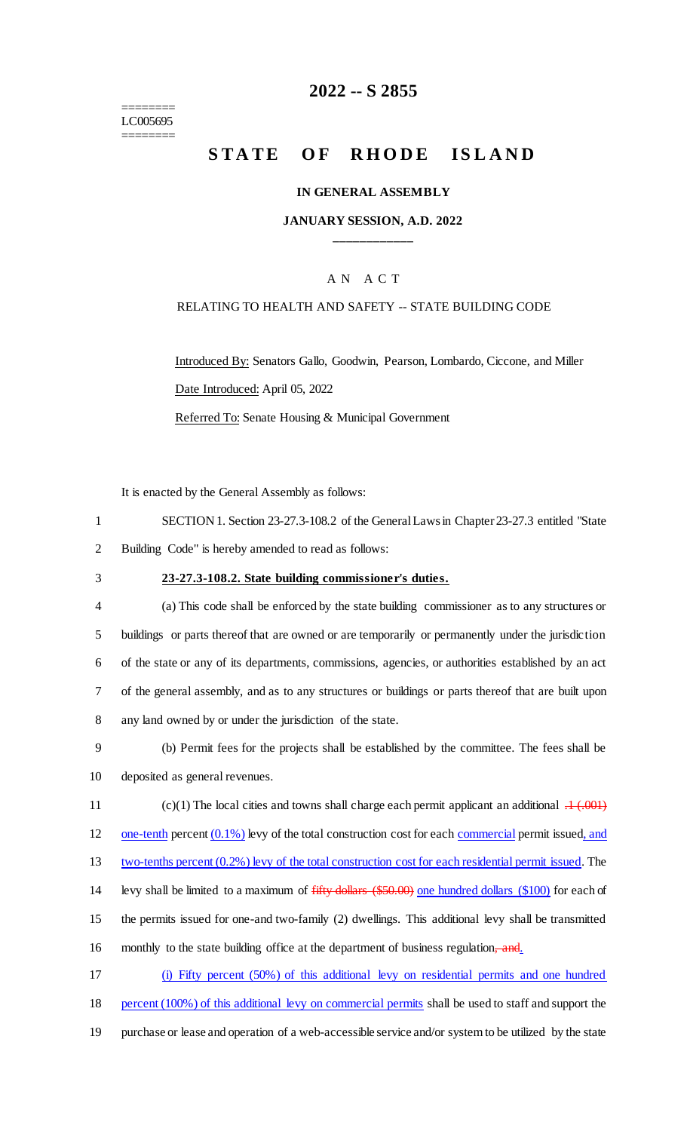======== LC005695 ========

## **2022 -- S 2855**

# **STATE OF RHODE ISLAND**

#### **IN GENERAL ASSEMBLY**

### **JANUARY SESSION, A.D. 2022 \_\_\_\_\_\_\_\_\_\_\_\_**

### A N A C T

#### RELATING TO HEALTH AND SAFETY -- STATE BUILDING CODE

Introduced By: Senators Gallo, Goodwin, Pearson, Lombardo, Ciccone, and Miller Date Introduced: April 05, 2022 Referred To: Senate Housing & Municipal Government

It is enacted by the General Assembly as follows:

| SECTION 1. Section 23-27.3-108.2 of the General Laws in Chapter 23-27.3 entitled "State" |
|------------------------------------------------------------------------------------------|
| Building Code" is hereby amended to read as follows:                                     |

### 3 **23-27.3-108.2. State building commissioner's duties.**

 (a) This code shall be enforced by the state building commissioner as to any structures or buildings or parts thereof that are owned or are temporarily or permanently under the jurisdiction of the state or any of its departments, commissions, agencies, or authorities established by an act of the general assembly, and as to any structures or buildings or parts thereof that are built upon any land owned by or under the jurisdiction of the state.

9 (b) Permit fees for the projects shall be established by the committee. The fees shall be 10 deposited as general revenues.

11 (c)(1) The local cities and towns shall charge each permit applicant an additional  $.1 \div 0.01$ 12 one-tenth percent  $(0.1\%)$  levy of the total construction cost for each commercial permit issued, and

13 two-tenths percent (0.2%) levy of the total construction cost for each residential permit issued. The

14 levy shall be limited to a maximum of  $f$ ifty dollars (\$50.00) one hundred dollars (\$100) for each of

15 the permits issued for one-and two-family (2) dwellings. This additional levy shall be transmitted

16 monthly to the state building office at the department of business regulation, and.

17 (i) Fifty percent (50%) of this additional levy on residential permits and one hundred 18 percent (100%) of this additional levy on commercial permits shall be used to staff and support the

19 purchase or lease and operation of a web-accessible service and/or system to be utilized by the state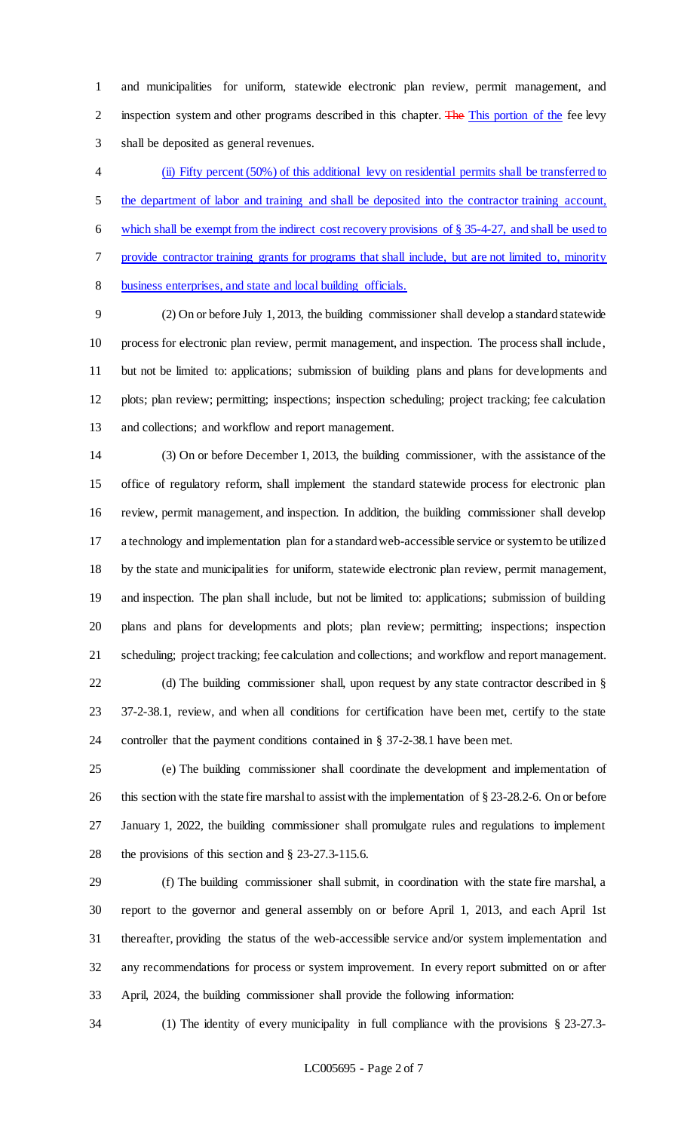and municipalities for uniform, statewide electronic plan review, permit management, and 2 inspection system and other programs described in this chapter. The This portion of the fee levy shall be deposited as general revenues.

 (ii) Fifty percent (50%) of this additional levy on residential permits shall be transferred to 5 the department of labor and training and shall be deposited into the contractor training account, 6 which shall be exempt from the indirect cost recovery provisions of  $\S 35-4-27$ , and shall be used to provide contractor training grants for programs that shall include, but are not limited to, minority business enterprises, and state and local building officials.

 (2) On or before July 1, 2013, the building commissioner shall develop a standard statewide process for electronic plan review, permit management, and inspection. The process shall include, but not be limited to: applications; submission of building plans and plans for developments and plots; plan review; permitting; inspections; inspection scheduling; project tracking; fee calculation and collections; and workflow and report management.

 (3) On or before December 1, 2013, the building commissioner, with the assistance of the office of regulatory reform, shall implement the standard statewide process for electronic plan review, permit management, and inspection. In addition, the building commissioner shall develop a technology and implementation plan for a standard web-accessible service or system to be utilized by the state and municipalities for uniform, statewide electronic plan review, permit management, and inspection. The plan shall include, but not be limited to: applications; submission of building plans and plans for developments and plots; plan review; permitting; inspections; inspection scheduling; project tracking; fee calculation and collections; and workflow and report management. 22 (d) The building commissioner shall, upon request by any state contractor described in §

 37-2-38.1, review, and when all conditions for certification have been met, certify to the state controller that the payment conditions contained in § 37-2-38.1 have been met.

 (e) The building commissioner shall coordinate the development and implementation of 26 this section with the state fire marshal to assist with the implementation of § 23-28.2-6. On or before January 1, 2022, the building commissioner shall promulgate rules and regulations to implement the provisions of this section and § 23-27.3-115.6.

 (f) The building commissioner shall submit, in coordination with the state fire marshal, a report to the governor and general assembly on or before April 1, 2013, and each April 1st thereafter, providing the status of the web-accessible service and/or system implementation and any recommendations for process or system improvement. In every report submitted on or after April, 2024, the building commissioner shall provide the following information:

(1) The identity of every municipality in full compliance with the provisions § 23-27.3-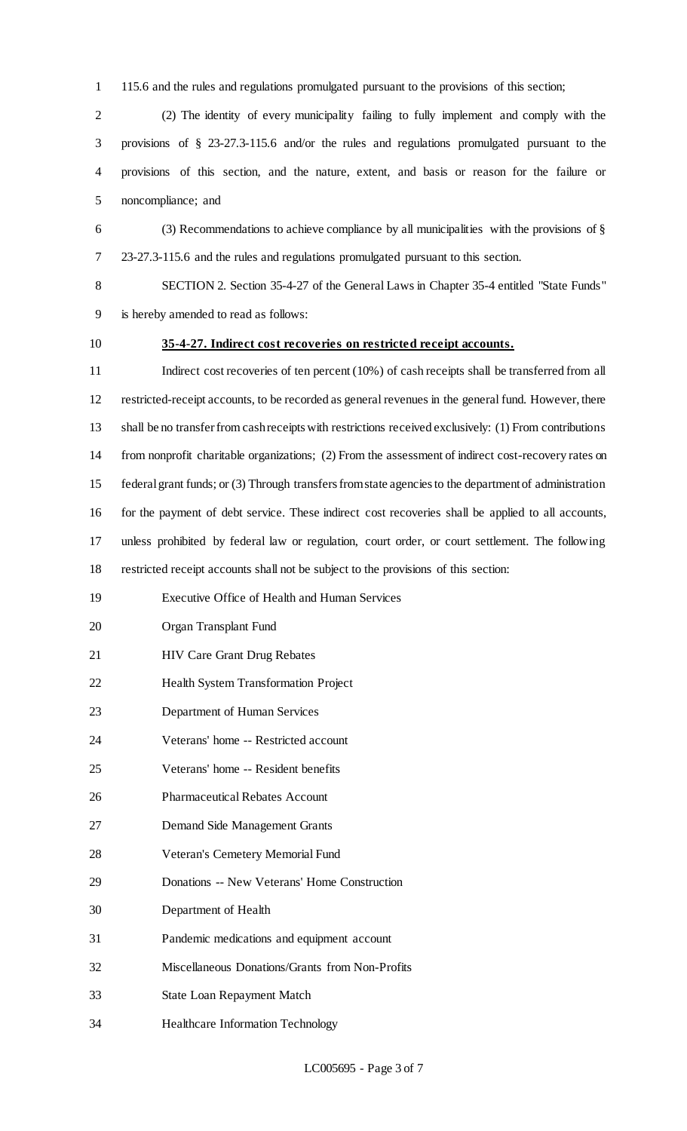115.6 and the rules and regulations promulgated pursuant to the provisions of this section;

 (2) The identity of every municipality failing to fully implement and comply with the provisions of § 23-27.3-115.6 and/or the rules and regulations promulgated pursuant to the provisions of this section, and the nature, extent, and basis or reason for the failure or noncompliance; and

 (3) Recommendations to achieve compliance by all municipalities with the provisions of § 23-27.3-115.6 and the rules and regulations promulgated pursuant to this section.

 SECTION 2. Section 35-4-27 of the General Laws in Chapter 35-4 entitled "State Funds" is hereby amended to read as follows:

### **35-4-27. Indirect cost recoveries on restricted receipt accounts.**

11 Indirect cost recoveries of ten percent (10%) of cash receipts shall be transferred from all restricted-receipt accounts, to be recorded as general revenues in the general fund. However, there shall be no transfer from cash receipts with restrictions received exclusively: (1) From contributions from nonprofit charitable organizations; (2) From the assessment of indirect cost-recovery rates on federal grant funds; or (3) Through transfers from state agencies to the department of administration for the payment of debt service. These indirect cost recoveries shall be applied to all accounts, unless prohibited by federal law or regulation, court order, or court settlement. The following restricted receipt accounts shall not be subject to the provisions of this section: Executive Office of Health and Human Services

- Organ Transplant Fund
- HIV Care Grant Drug Rebates
- Health System Transformation Project
- Department of Human Services
- Veterans' home -- Restricted account
- Veterans' home -- Resident benefits
- Pharmaceutical Rebates Account
- Demand Side Management Grants
- Veteran's Cemetery Memorial Fund
- Donations -- New Veterans' Home Construction
- Department of Health
- Pandemic medications and equipment account
- Miscellaneous Donations/Grants from Non-Profits
- State Loan Repayment Match
- Healthcare Information Technology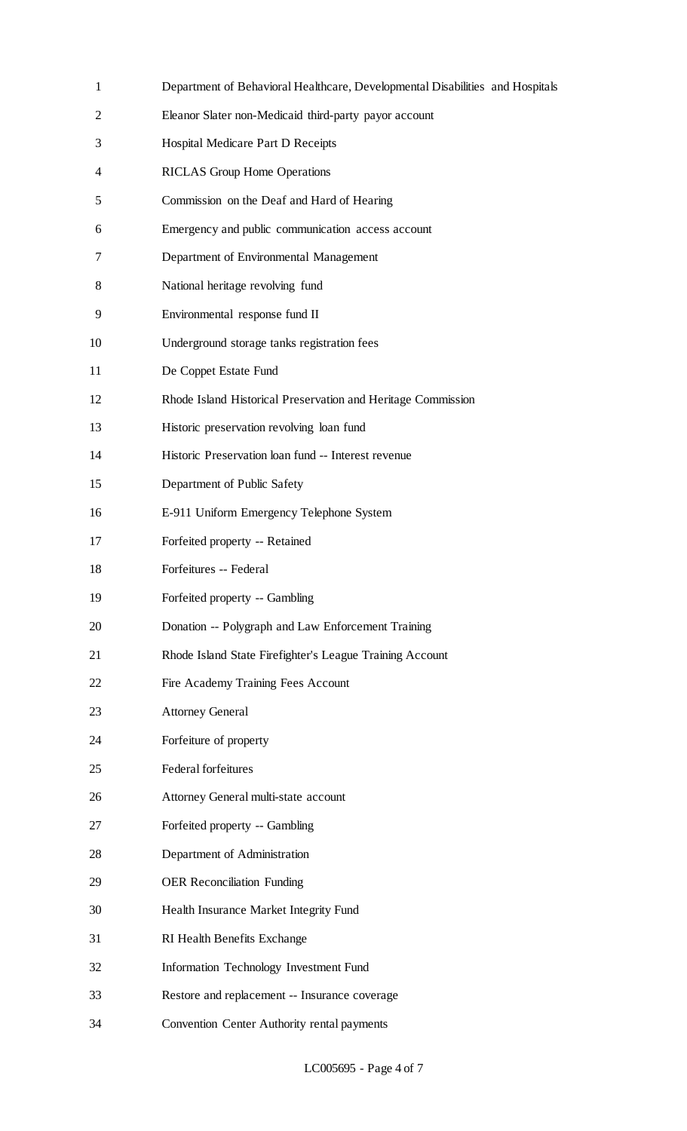| $\mathbf{1}$   | Department of Behavioral Healthcare, Developmental Disabilities and |
|----------------|---------------------------------------------------------------------|
| $\overline{2}$ | Eleanor Slater non-Medicaid third-party payor account               |
| 3              | Hospital Medicare Part D Receipts                                   |
| 4              | <b>RICLAS Group Home Operations</b>                                 |
| 5              | Commission on the Deaf and Hard of Hearing                          |
| 6              | Emergency and public communication access account                   |
| 7              | Department of Environmental Management                              |
| 8              | National heritage revolving fund                                    |
| 9              | Environmental response fund II                                      |
| 10             | Underground storage tanks registration fees                         |
| 11             | De Coppet Estate Fund                                               |
| 12             | Rhode Island Historical Preservation and Heritage Commission        |
| 13             | Historic preservation revolving loan fund                           |
| 14             | Historic Preservation loan fund -- Interest revenue                 |
| 15             | Department of Public Safety                                         |
| 16             | E-911 Uniform Emergency Telephone System                            |
| 17             | Forfeited property -- Retained                                      |
| 18             | Forfeitures -- Federal                                              |
| 19             | Forfeited property -- Gambling                                      |
| 20             | Donation -- Polygraph and Law Enforcement Training                  |
| 21             | Rhode Island State Firefighter's League Training Account            |
| 22             | Fire Academy Training Fees Account                                  |
| 23             | <b>Attorney General</b>                                             |
| 24             | Forfeiture of property                                              |
| 25             | Federal forfeitures                                                 |
| 26             | Attorney General multi-state account                                |
| 27             | Forfeited property -- Gambling                                      |
| 28             | Department of Administration                                        |
| 29             | <b>OER Reconciliation Funding</b>                                   |
| 30             | Health Insurance Market Integrity Fund                              |
| 31             | RI Health Benefits Exchange                                         |
| 32             | <b>Information Technology Investment Fund</b>                       |
| 33             | Restore and replacement -- Insurance coverage                       |
| 34             | Convention Center Authority rental payments                         |

Hospitals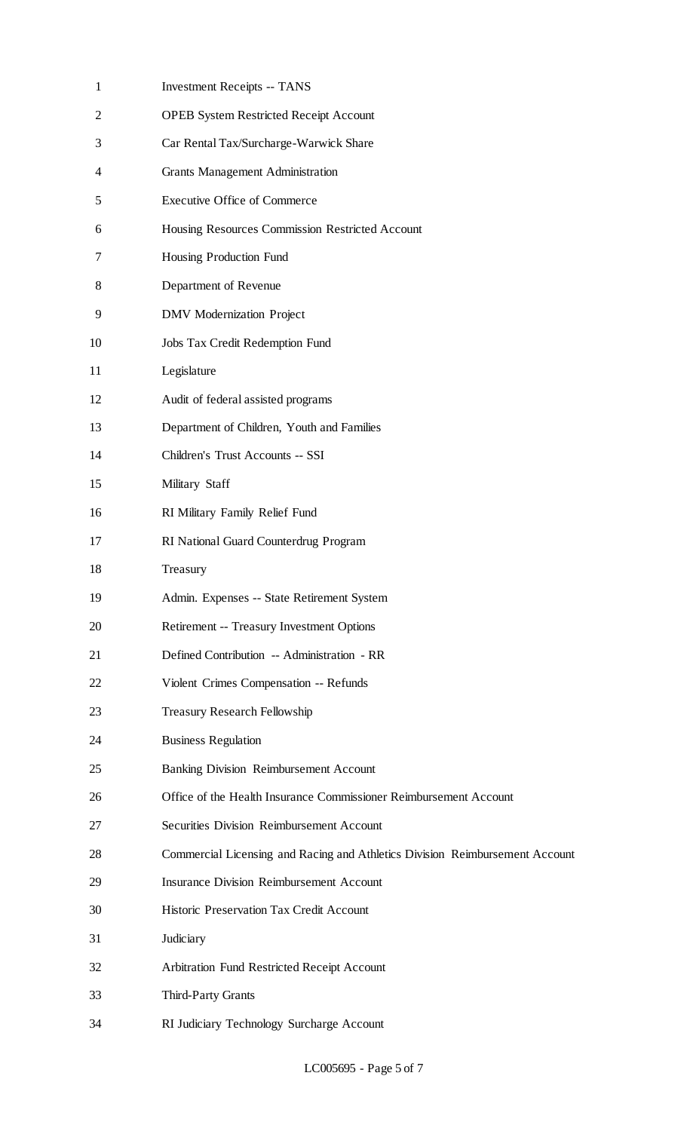| $\mathbf{1}$ | <b>Investment Receipts -- TANS</b>                                           |
|--------------|------------------------------------------------------------------------------|
| 2            | <b>OPEB System Restricted Receipt Account</b>                                |
| 3            | Car Rental Tax/Surcharge-Warwick Share                                       |
| 4            | <b>Grants Management Administration</b>                                      |
| 5            | <b>Executive Office of Commerce</b>                                          |
| 6            | Housing Resources Commission Restricted Account                              |
| 7            | Housing Production Fund                                                      |
| 8            | Department of Revenue                                                        |
| 9            | <b>DMV</b> Modernization Project                                             |
| 10           | Jobs Tax Credit Redemption Fund                                              |
| 11           | Legislature                                                                  |
| 12           | Audit of federal assisted programs                                           |
| 13           | Department of Children, Youth and Families                                   |
| 14           | Children's Trust Accounts -- SSI                                             |
| 15           | Military Staff                                                               |
| 16           | RI Military Family Relief Fund                                               |
| 17           | RI National Guard Counterdrug Program                                        |
| 18           | Treasury                                                                     |
| 19           | Admin. Expenses -- State Retirement System                                   |
| 20           | Retirement -- Treasury Investment Options                                    |
| 21           | Defined Contribution -- Administration - RR                                  |
| 22           | Violent Crimes Compensation -- Refunds                                       |
| 23           | <b>Treasury Research Fellowship</b>                                          |
| 24           | <b>Business Regulation</b>                                                   |
| 25           | <b>Banking Division Reimbursement Account</b>                                |
| 26           | Office of the Health Insurance Commissioner Reimbursement Account            |
| 27           | <b>Securities Division Reimbursement Account</b>                             |
| 28           | Commercial Licensing and Racing and Athletics Division Reimbursement Account |
| 29           | <b>Insurance Division Reimbursement Account</b>                              |
| 30           | Historic Preservation Tax Credit Account                                     |
| 31           | Judiciary                                                                    |
| 32           | Arbitration Fund Restricted Receipt Account                                  |
| 33           | Third-Party Grants                                                           |
| 34           | RI Judiciary Technology Surcharge Account                                    |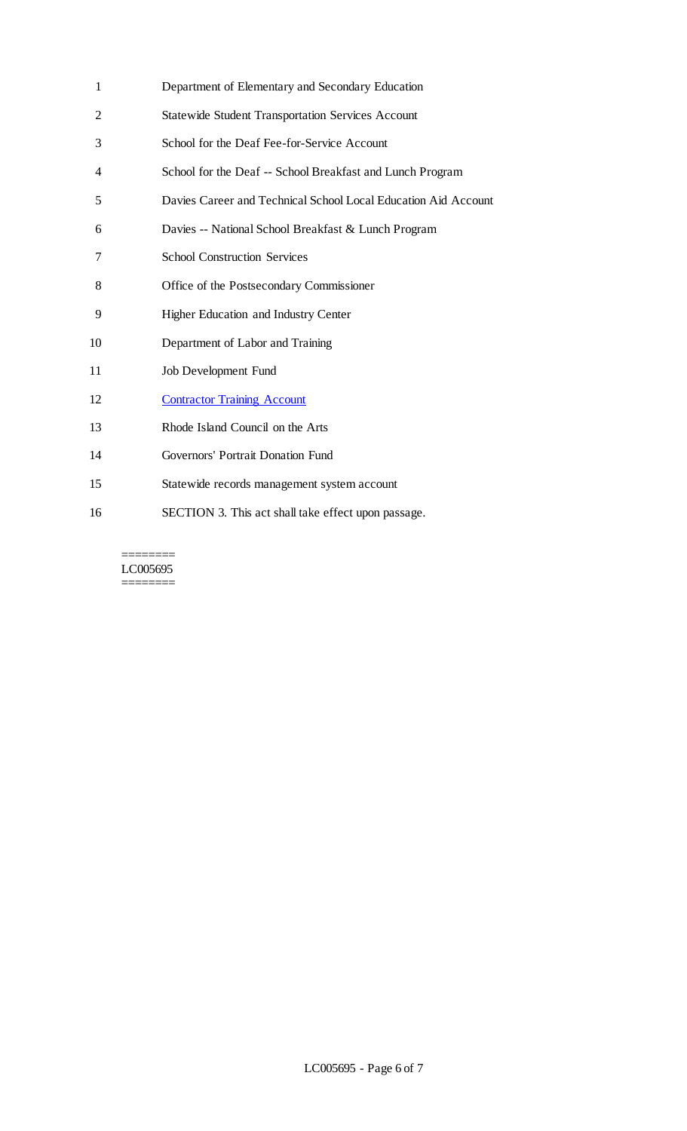| 1              | Department of Elementary and Secondary Education               |
|----------------|----------------------------------------------------------------|
| $\overline{2}$ | <b>Statewide Student Transportation Services Account</b>       |
| 3              | School for the Deaf Fee-for-Service Account                    |
| 4              | School for the Deaf -- School Breakfast and Lunch Program      |
| 5              | Davies Career and Technical School Local Education Aid Account |
| 6              | Davies -- National School Breakfast & Lunch Program            |
| 7              | <b>School Construction Services</b>                            |
| 8              | Office of the Postsecondary Commissioner                       |
| 9              | <b>Higher Education and Industry Center</b>                    |
| 10             | Department of Labor and Training                               |
| 11             | <b>Job Development Fund</b>                                    |
| 12             | <b>Contractor Training Account</b>                             |
| 13             | Rhode Island Council on the Arts                               |
| 14             | Governors' Portrait Donation Fund                              |
| 15             | Statewide records management system account                    |
| 16             | SECTION 3. This act shall take effect upon passage.            |

 $=$ LC005695 ========